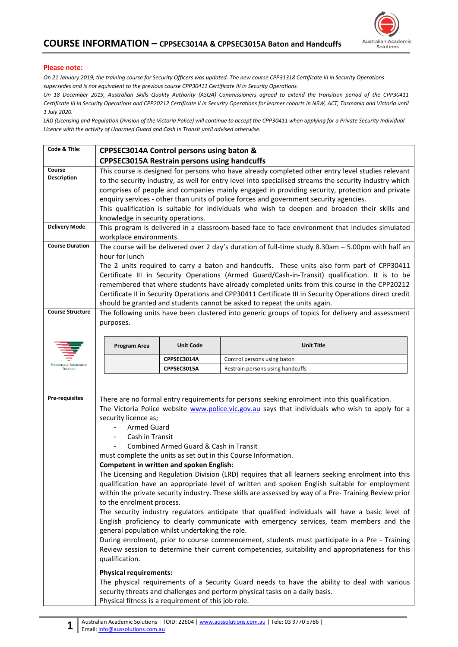

## **Please note:**

*On 21 January 2019, the training course for Security Officers was updated. The new course CPP31318 Certificate III in Security Operations supersedes and is not equivalent to the previous course CPP30411 Certificate III in Security Operations.*

*On 18 December 2019, Australian Skills Quality Authority (ASQA) Commissioners agreed to extend the transition period of the CPP30411 Certificate III in Security Operations and CPP20212 Certificate II in Security Operations for learner cohorts in NSW, ACT, Tasmania and Victoria until 1 July 2020.* 

*LRD (Licensing and Regulation Division of the Victoria Police) will continue to accept the CPP30411 when applying for a Private Security Individual Licence with the activity of Unarmed Guard and Cash In Transit until advised otherwise.*

| Code & Title:                                                                  | CPPSEC3014A Control persons using baton &                                                                                                                                                                                                                                                                                                                                                                                                                                                                                                                                                                                                                                                                                                                                                                                                                                                                                                                                                                                                                                                                                                                                                                                                                                                                                                                                                                                                                                                                                         |                  |                                  |  |  |  |  |
|--------------------------------------------------------------------------------|-----------------------------------------------------------------------------------------------------------------------------------------------------------------------------------------------------------------------------------------------------------------------------------------------------------------------------------------------------------------------------------------------------------------------------------------------------------------------------------------------------------------------------------------------------------------------------------------------------------------------------------------------------------------------------------------------------------------------------------------------------------------------------------------------------------------------------------------------------------------------------------------------------------------------------------------------------------------------------------------------------------------------------------------------------------------------------------------------------------------------------------------------------------------------------------------------------------------------------------------------------------------------------------------------------------------------------------------------------------------------------------------------------------------------------------------------------------------------------------------------------------------------------------|------------------|----------------------------------|--|--|--|--|
|                                                                                | <b>CPPSEC3015A Restrain persons using handcuffs</b>                                                                                                                                                                                                                                                                                                                                                                                                                                                                                                                                                                                                                                                                                                                                                                                                                                                                                                                                                                                                                                                                                                                                                                                                                                                                                                                                                                                                                                                                               |                  |                                  |  |  |  |  |
| Course<br><b>Description</b><br><b>Delivery Mode</b><br><b>Course Duration</b> | This course is designed for persons who have already completed other entry level studies relevant<br>to the security industry, as well for entry level into specialised streams the security industry which<br>comprises of people and companies mainly engaged in providing security, protection and private<br>enquiry services - other than units of police forces and government security agencies.<br>This qualification is suitable for individuals who wish to deepen and broaden their skills and<br>knowledge in security operations.<br>This program is delivered in a classroom-based face to face environment that includes simulated<br>workplace environments.<br>The course will be delivered over 2 day's duration of full-time study 8.30am $-$ 5.00pm with half an<br>hour for lunch<br>The 2 units required to carry a baton and handcuffs. These units also form part of CPP30411<br>Certificate III in Security Operations (Armed Guard/Cash-in-Transit) qualification. It is to be<br>remembered that where students have already completed units from this course in the CPP20212<br>Certificate II in Security Operations and CPP30411 Certificate III in Security Operations direct credit                                                                                                                                                                                                                                                                                                               |                  |                                  |  |  |  |  |
| <b>Course Structure</b>                                                        | should be granted and students cannot be asked to repeat the units again.<br>The following units have been clustered into generic groups of topics for delivery and assessment                                                                                                                                                                                                                                                                                                                                                                                                                                                                                                                                                                                                                                                                                                                                                                                                                                                                                                                                                                                                                                                                                                                                                                                                                                                                                                                                                    |                  |                                  |  |  |  |  |
|                                                                                | purposes.                                                                                                                                                                                                                                                                                                                                                                                                                                                                                                                                                                                                                                                                                                                                                                                                                                                                                                                                                                                                                                                                                                                                                                                                                                                                                                                                                                                                                                                                                                                         |                  |                                  |  |  |  |  |
|                                                                                | Program Area                                                                                                                                                                                                                                                                                                                                                                                                                                                                                                                                                                                                                                                                                                                                                                                                                                                                                                                                                                                                                                                                                                                                                                                                                                                                                                                                                                                                                                                                                                                      | <b>Unit Code</b> | <b>Unit Title</b>                |  |  |  |  |
| <b>NATIONALLY RECOGNISED</b>                                                   |                                                                                                                                                                                                                                                                                                                                                                                                                                                                                                                                                                                                                                                                                                                                                                                                                                                                                                                                                                                                                                                                                                                                                                                                                                                                                                                                                                                                                                                                                                                                   | CPPSEC3014A      | Control persons using baton      |  |  |  |  |
| TRAINING                                                                       |                                                                                                                                                                                                                                                                                                                                                                                                                                                                                                                                                                                                                                                                                                                                                                                                                                                                                                                                                                                                                                                                                                                                                                                                                                                                                                                                                                                                                                                                                                                                   | CPPSEC3015A      | Restrain persons using handcuffs |  |  |  |  |
| <b>Pre-requisites</b>                                                          | There are no formal entry requirements for persons seeking enrolment into this qualification.<br>The Victoria Police website www.police.vic.gov.au says that individuals who wish to apply for a<br>security licence as;<br><b>Armed Guard</b><br>Cash in Transit<br>Combined Armed Guard & Cash in Transit<br>must complete the units as set out in this Course Information.<br><b>Competent in written and spoken English:</b><br>The Licensing and Regulation Division (LRD) requires that all learners seeking enrolment into this<br>qualification have an appropriate level of written and spoken English suitable for employment<br>within the private security industry. These skills are assessed by way of a Pre- Training Review prior<br>to the enrolment process.<br>The security industry regulators anticipate that qualified individuals will have a basic level of<br>English proficiency to clearly communicate with emergency services, team members and the<br>general population whilst undertaking the role.<br>During enrolment, prior to course commencement, students must participate in a Pre - Training<br>Review session to determine their current competencies, suitability and appropriateness for this<br>qualification.<br><b>Physical requirements:</b><br>The physical requirements of a Security Guard needs to have the ability to deal with various<br>security threats and challenges and perform physical tasks on a daily basis.<br>Physical fitness is a requirement of this job role. |                  |                                  |  |  |  |  |
|                                                                                |                                                                                                                                                                                                                                                                                                                                                                                                                                                                                                                                                                                                                                                                                                                                                                                                                                                                                                                                                                                                                                                                                                                                                                                                                                                                                                                                                                                                                                                                                                                                   |                  |                                  |  |  |  |  |